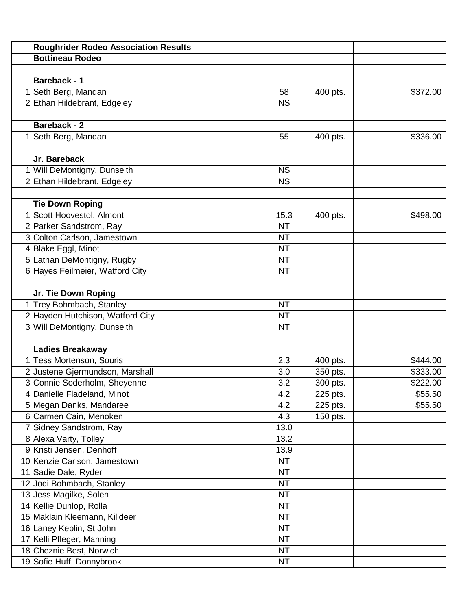|   | <b>Roughrider Rodeo Association Results</b> |           |          |          |
|---|---------------------------------------------|-----------|----------|----------|
|   | <b>Bottineau Rodeo</b>                      |           |          |          |
|   |                                             |           |          |          |
|   | <b>Bareback - 1</b>                         |           |          |          |
|   | Seth Berg, Mandan                           | 58        | 400 pts. | \$372.00 |
|   | 2 Ethan Hildebrant, Edgeley                 | <b>NS</b> |          |          |
|   |                                             |           |          |          |
|   | <b>Bareback - 2</b>                         |           |          |          |
| 1 | Seth Berg, Mandan                           | 55        | 400 pts. | \$336.00 |
|   |                                             |           |          |          |
|   | Jr. Bareback                                |           |          |          |
|   | 1 Will DeMontigny, Dunseith                 | <b>NS</b> |          |          |
|   | 2 Ethan Hildebrant, Edgeley                 | <b>NS</b> |          |          |
|   |                                             |           |          |          |
|   | <b>Tie Down Roping</b>                      |           |          |          |
| 1 | Scott Hoovestol, Almont                     | 15.3      | 400 pts. | \$498.00 |
|   | 2 Parker Sandstrom, Ray                     | <b>NT</b> |          |          |
|   | 3 Colton Carlson, Jamestown                 | <b>NT</b> |          |          |
|   | 4 Blake Eggl, Minot                         | <b>NT</b> |          |          |
|   | 5 Lathan DeMontigny, Rugby                  | <b>NT</b> |          |          |
|   | 6 Hayes Feilmeier, Watford City             | <b>NT</b> |          |          |
|   |                                             |           |          |          |
|   | Jr. Tie Down Roping                         |           |          |          |
|   | 1 Trey Bohmbach, Stanley                    | <b>NT</b> |          |          |
|   | 2 Hayden Hutchison, Watford City            | <b>NT</b> |          |          |
|   | 3 Will DeMontigny, Dunseith                 | <b>NT</b> |          |          |
|   |                                             |           |          |          |
|   | <b>Ladies Breakaway</b>                     |           |          |          |
|   | Tess Mortenson, Souris                      | 2.3       | 400 pts. | \$444.00 |
|   | 2 Justene Gjermundson, Marshall             | 3.0       | 350 pts. | \$333.00 |
|   | 3 Connie Soderholm, Sheyenne                | 3.2       | 300 pts. | \$222.00 |
|   | 4 Danielle Fladeland, Minot                 | 4.2       | 225 pts. | \$55.50  |
|   | 5 Megan Danks, Mandaree                     | 4.2       | 225 pts. | \$55.50  |
|   | 6 Carmen Cain, Menoken                      | 4.3       | 150 pts. |          |
|   | 7 Sidney Sandstrom, Ray                     | 13.0      |          |          |
|   | 8 Alexa Varty, Tolley                       | 13.2      |          |          |
|   | 9 Kristi Jensen, Denhoff                    | 13.9      |          |          |
|   | 10 Kenzie Carlson, Jamestown                | <b>NT</b> |          |          |
|   | 11 Sadie Dale, Ryder                        | <b>NT</b> |          |          |
|   | 12 Jodi Bohmbach, Stanley                   | <b>NT</b> |          |          |
|   | 13 Jess Magilke, Solen                      | <b>NT</b> |          |          |
|   | 14 Kellie Dunlop, Rolla                     | <b>NT</b> |          |          |
|   | 15 Maklain Kleemann, Killdeer               | <b>NT</b> |          |          |
|   | 16 Laney Keplin, St John                    | <b>NT</b> |          |          |
|   | 17 Kelli Pfleger, Manning                   | <b>NT</b> |          |          |
|   | 18 Cheznie Best, Norwich                    | <b>NT</b> |          |          |
|   | 19 Sofie Huff, Donnybrook                   | <b>NT</b> |          |          |
|   |                                             |           |          |          |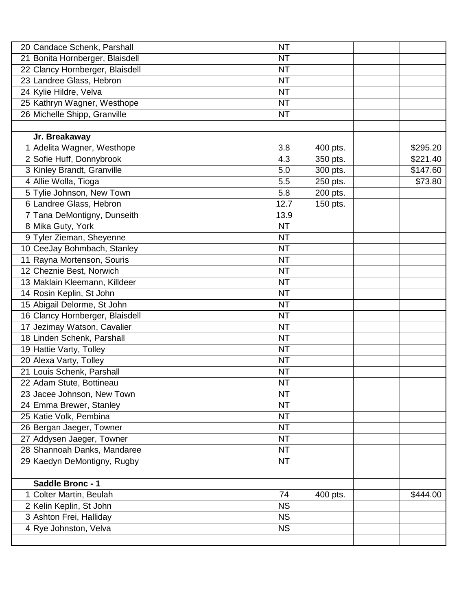|   | 20 Candace Schenk, Parshall     | <b>NT</b> |          |          |
|---|---------------------------------|-----------|----------|----------|
|   | 21 Bonita Hornberger, Blaisdell | <b>NT</b> |          |          |
|   | 22 Clancy Hornberger, Blaisdell | <b>NT</b> |          |          |
|   | 23 Landree Glass, Hebron        | <b>NT</b> |          |          |
|   | 24 Kylie Hildre, Velva          | <b>NT</b> |          |          |
|   | 25 Kathryn Wagner, Westhope     | <b>NT</b> |          |          |
|   | 26 Michelle Shipp, Granville    | <b>NT</b> |          |          |
|   |                                 |           |          |          |
|   | Jr. Breakaway                   |           |          |          |
|   | Adelita Wagner, Westhope        | 3.8       | 400 pts. | 3295.20  |
|   | 2 Sofie Huff, Donnybrook        | 4.3       | 350 pts. | \$221.40 |
|   | 3 Kinley Brandt, Granville      | 5.0       | 300 pts. | \$147.60 |
| 4 | Allie Wolla, Tioga              | 5.5       | 250 pts. | \$73.80  |
|   | 5 Tylie Johnson, New Town       | 5.8       | 200 pts. |          |
|   | 6 Landree Glass, Hebron         | 12.7      | 150 pts. |          |
| 7 | Tana DeMontigny, Dunseith       | 13.9      |          |          |
|   | 8 Mika Guty, York               | <b>NT</b> |          |          |
| 9 | Tyler Zieman, Sheyenne          | <b>NT</b> |          |          |
|   | 10 CeeJay Bohmbach, Stanley     | <b>NT</b> |          |          |
|   | 11 Rayna Mortenson, Souris      | <b>NT</b> |          |          |
|   | 12 Cheznie Best, Norwich        | <b>NT</b> |          |          |
|   | 13 Maklain Kleemann, Killdeer   | <b>NT</b> |          |          |
|   | 14 Rosin Keplin, St John        | <b>NT</b> |          |          |
|   | 15 Abigail Delorme, St John     | <b>NT</b> |          |          |
|   | 16 Clancy Hornberger, Blaisdell | <b>NT</b> |          |          |
|   | 17 Jezimay Watson, Cavalier     | <b>NT</b> |          |          |
|   | 18 Linden Schenk, Parshall      | <b>NT</b> |          |          |
|   | 19 Hattie Varty, Tolley         | <b>NT</b> |          |          |
|   | 20 Alexa Varty, Tolley          | <b>NT</b> |          |          |
|   | 21 Louis Schenk, Parshall       | <b>NT</b> |          |          |
|   | 22 Adam Stute, Bottineau        | <b>NT</b> |          |          |
|   | 23 Jacee Johnson, New Town      | <b>NT</b> |          |          |
|   | 24 Emma Brewer, Stanley         | <b>NT</b> |          |          |
|   | 25 Katie Volk, Pembina          | <b>NT</b> |          |          |
|   | 26 Bergan Jaeger, Towner        | <b>NT</b> |          |          |
|   | 27 Addysen Jaeger, Towner       | <b>NT</b> |          |          |
|   | 28 Shannoah Danks, Mandaree     | <b>NT</b> |          |          |
|   | 29 Kaedyn DeMontigny, Rugby     | <b>NT</b> |          |          |
|   |                                 |           |          |          |
|   | Saddle Bronc - 1                |           |          |          |
|   | Colter Martin, Beulah           | 74        | 400 pts. | \$444.00 |
|   | 2 Kelin Keplin, St John         | <b>NS</b> |          |          |
|   | 3 Ashton Frei, Halliday         | <b>NS</b> |          |          |
| 4 | Rye Johnston, Velva             | <b>NS</b> |          |          |
|   |                                 |           |          |          |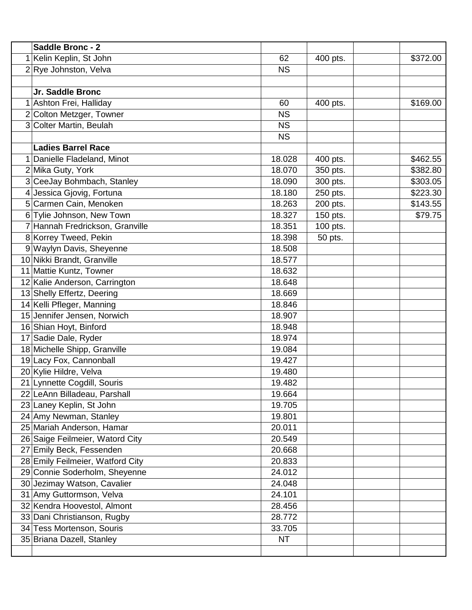|                | Saddle Bronc - 2                 |           |          |          |
|----------------|----------------------------------|-----------|----------|----------|
| 1              | Kelin Keplin, St John            | 62        | 400 pts. | \$372.00 |
|                | 2 Rye Johnston, Velva            | <b>NS</b> |          |          |
|                |                                  |           |          |          |
|                | Jr. Saddle Bronc                 |           |          |          |
|                | Ashton Frei, Halliday            | 60        | 400 pts. | \$169.00 |
|                | 2 Colton Metzger, Towner         | <b>NS</b> |          |          |
|                | 3 Colter Martin, Beulah          | <b>NS</b> |          |          |
|                |                                  | <b>NS</b> |          |          |
|                | <b>Ladies Barrel Race</b>        |           |          |          |
| 1              | Danielle Fladeland, Minot        | 18.028    | 400 pts. | \$462.55 |
|                | 2 Mika Guty, York                | 18.070    | 350 pts. | \$382.80 |
|                | 3 CeeJay Bohmbach, Stanley       | 18.090    | 300 pts. | \$303.05 |
| $\overline{4}$ | Jessica Gjovig, Fortuna          | 18.180    | 250 pts. | \$223.30 |
|                | 5 Carmen Cain, Menoken           | 18.263    | 200 pts. | \$143.55 |
|                | 6 Tylie Johnson, New Town        | 18.327    | 150 pts. | \$79.75  |
|                | 7 Hannah Fredrickson, Granville  | 18.351    | 100 pts. |          |
|                | 8 Korrey Tweed, Pekin            | 18.398    | 50 pts.  |          |
|                | 9 Waylyn Davis, Sheyenne         | 18.508    |          |          |
|                | 10 Nikki Brandt, Granville       | 18.577    |          |          |
|                | 11 Mattie Kuntz, Towner          | 18.632    |          |          |
|                | 12 Kalie Anderson, Carrington    | 18.648    |          |          |
|                | 13 Shelly Effertz, Deering       | 18.669    |          |          |
|                | 14 Kelli Pfleger, Manning        | 18.846    |          |          |
|                | 15 Jennifer Jensen, Norwich      | 18.907    |          |          |
|                | 16 Shian Hoyt, Binford           | 18.948    |          |          |
|                | 17 Sadie Dale, Ryder             | 18.974    |          |          |
|                | 18 Michelle Shipp, Granville     | 19.084    |          |          |
|                | 19 Lacy Fox, Cannonball          | 19.427    |          |          |
|                | 20 Kylie Hildre, Velva           | 19.480    |          |          |
|                | 21 Lynnette Cogdill, Souris      | 19.482    |          |          |
|                | 22 LeAnn Billadeau, Parshall     | 19.664    |          |          |
|                | 23 Laney Keplin, St John         | 19.705    |          |          |
|                | 24 Amy Newman, Stanley           | 19.801    |          |          |
|                | 25 Mariah Anderson, Hamar        | 20.011    |          |          |
|                | 26 Saige Feilmeier, Watord City  | 20.549    |          |          |
|                | 27 Emily Beck, Fessenden         | 20.668    |          |          |
|                | 28 Emily Feilmeier, Watford City | 20.833    |          |          |
|                | 29 Connie Soderholm, Sheyenne    | 24.012    |          |          |
|                | 30 Jezimay Watson, Cavalier      | 24.048    |          |          |
|                | 31 Amy Guttormson, Velva         | 24.101    |          |          |
|                | 32 Kendra Hoovestol, Almont      | 28.456    |          |          |
|                | 33 Dani Christianson, Rugby      | 28.772    |          |          |
|                | 34 Tess Mortenson, Souris        | 33.705    |          |          |
|                | 35 Briana Dazell, Stanley        | <b>NT</b> |          |          |
|                |                                  |           |          |          |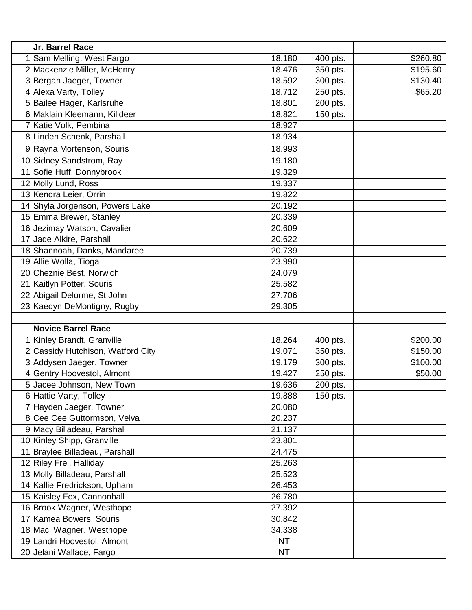| Jr. Barrel Race                 |           |          |          |
|---------------------------------|-----------|----------|----------|
| Sam Melling, West Fargo         | 18.180    | 400 pts. | \$260.80 |
| 2 Mackenzie Miller, McHenry     | 18.476    | 350 pts. | \$195.60 |
| 3 Bergan Jaeger, Towner         | 18.592    | 300 pts. | \$130.40 |
| 4 Alexa Varty, Tolley           | 18.712    | 250 pts. | \$65.20  |
| 5 Bailee Hager, Karlsruhe       | 18.801    | 200 pts. |          |
| 6 Maklain Kleemann, Killdeer    | 18.821    | 150 pts. |          |
| Katie Volk, Pembina             | 18.927    |          |          |
| 8 Linden Schenk, Parshall       | 18.934    |          |          |
| 9 Rayna Mortenson, Souris       | 18.993    |          |          |
| 10 Sidney Sandstrom, Ray        | 19.180    |          |          |
| Sofie Huff, Donnybrook<br>11    | 19.329    |          |          |
| 12 Molly Lund, Ross             | 19.337    |          |          |
| 13 Kendra Leier, Orrin          | 19.822    |          |          |
| 14 Shyla Jorgenson, Powers Lake | 20.192    |          |          |
| 15 Emma Brewer, Stanley         | 20.339    |          |          |
| 16 Jezimay Watson, Cavalier     | 20.609    |          |          |
| 17 Jade Alkire, Parshall        | 20.622    |          |          |
| 18 Shannoah, Danks, Mandaree    | 20.739    |          |          |
| 19 Allie Wolla, Tioga           | 23.990    |          |          |
| 20 Cheznie Best, Norwich        | 24.079    |          |          |
| 21 Kaitlyn Potter, Souris       | 25.582    |          |          |
| 22 Abigail Delorme, St John     | 27.706    |          |          |
| 23 Kaedyn DeMontigny, Rugby     | 29.305    |          |          |
|                                 |           |          |          |
| <b>Novice Barrel Race</b>       |           |          |          |
| Kinley Brandt, Granville        | 18.264    | 400 pts. | \$200.00 |
| Cassidy Hutchison, Watford City | 19.071    | 350 pts. | \$150.00 |
| 3 Addysen Jaeger, Towner        | 19.179    | 300 pts. | \$100.00 |
| <b>Gentry Hoovestol, Almont</b> | 19.427    | 250 pts. | \$50.00  |
| 5 Jacee Johnson, New Town       | 19.636    | 200 pts  |          |
| 6 Hattie Varty, Tolley          | 19.888    | 150 pts. |          |
| Hayden Jaeger, Towner           | 20.080    |          |          |
| 8 Cee Cee Guttormson, Velva     | 20.237    |          |          |
| 9 Macy Billadeau, Parshall      | 21.137    |          |          |
| 10 Kinley Shipp, Granville      | 23.801    |          |          |
| 11 Braylee Billadeau, Parshall  | 24.475    |          |          |
| 12 Riley Frei, Halliday         | 25.263    |          |          |
| 13 Molly Billadeau, Parshall    | 25.523    |          |          |
| 14 Kallie Fredrickson, Upham    | 26.453    |          |          |
| 15 Kaisley Fox, Cannonball      | 26.780    |          |          |
| 16 Brook Wagner, Westhope       | 27.392    |          |          |
| 17 Kamea Bowers, Souris         | 30.842    |          |          |
| 18 Maci Wagner, Westhope        | 34.338    |          |          |
| 19 Landri Hoovestol, Almont     | <b>NT</b> |          |          |
| 20 Jelani Wallace, Fargo        | <b>NT</b> |          |          |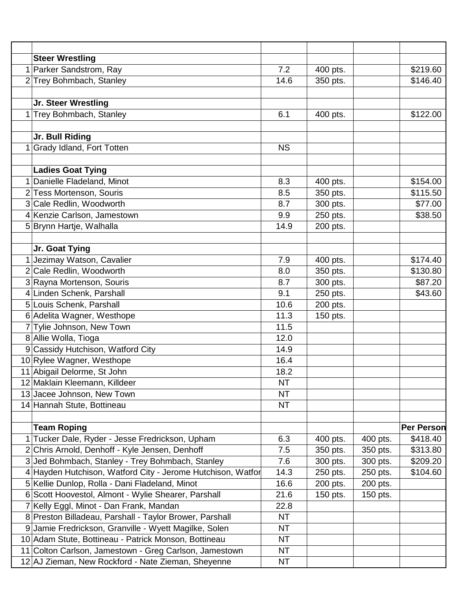|   | <b>Steer Wrestling</b>                                      |           |          |          |                   |
|---|-------------------------------------------------------------|-----------|----------|----------|-------------------|
| 1 | <b>Parker Sandstrom, Ray</b>                                | 7.2       | 400 pts. |          | \$219.60          |
|   | 2 Trey Bohmbach, Stanley                                    | 14.6      | 350 pts. |          | \$146.40          |
|   |                                                             |           |          |          |                   |
|   | Jr. Steer Wrestling                                         |           |          |          |                   |
| 1 | <b>Trey Bohmbach, Stanley</b>                               | 6.1       | 400 pts. |          | \$122.00          |
|   |                                                             |           |          |          |                   |
|   | Jr. Bull Riding                                             |           |          |          |                   |
|   | Grady Idland, Fort Totten                                   | <b>NS</b> |          |          |                   |
|   |                                                             |           |          |          |                   |
|   | <b>Ladies Goat Tying</b>                                    |           |          |          |                   |
|   | Danielle Fladeland, Minot                                   | 8.3       | 400 pts. |          | \$154.00          |
|   | 2 Tess Mortenson, Souris                                    | 8.5       | 350 pts. |          | \$115.50          |
|   | 3 Cale Redlin, Woodworth                                    | 8.7       | 300 pts. |          | \$77.00           |
|   | 4 Kenzie Carlson, Jamestown                                 | 9.9       | 250 pts. |          | \$38.50           |
|   | 5 Brynn Hartje, Walhalla                                    | 14.9      | 200 pts. |          |                   |
|   |                                                             |           |          |          |                   |
|   | Jr. Goat Tying                                              |           |          |          |                   |
|   | Jezimay Watson, Cavalier                                    | 7.9       | 400 pts. |          | \$174.40          |
|   | 2 Cale Redlin, Woodworth                                    | 8.0       | 350 pts. |          | \$130.80          |
|   | 3 Rayna Mortenson, Souris                                   | 8.7       | 300 pts. |          | \$87.20           |
|   | 4 Linden Schenk, Parshall                                   | 9.1       | 250 pts. |          | \$43.60           |
|   | 5 Louis Schenk, Parshall                                    | 10.6      | 200 pts. |          |                   |
|   | 6 Adelita Wagner, Westhope                                  | 11.3      | 150 pts. |          |                   |
|   | 7 Tylie Johnson, New Town                                   | 11.5      |          |          |                   |
|   | 8 Allie Wolla, Tioga                                        | 12.0      |          |          |                   |
|   | 9 Cassidy Hutchison, Watford City                           | 14.9      |          |          |                   |
|   | 10 Rylee Wagner, Westhope                                   | 16.4      |          |          |                   |
|   | 11 Abigail Delorme, St John                                 | 18.2      |          |          |                   |
|   | 12 Maklain Kleemann, Killdeer                               | <b>NT</b> |          |          |                   |
|   | 13 Jacee Johnson, New Town                                  | <b>NT</b> |          |          |                   |
|   | 14 Hannah Stute, Bottineau                                  | <b>NT</b> |          |          |                   |
|   |                                                             |           |          |          |                   |
|   | <b>Team Roping</b>                                          |           |          |          | <b>Per Person</b> |
|   | 1 Tucker Dale, Ryder - Jesse Fredrickson, Upham             | 6.3       | 400 pts. | 400 pts. | \$418.40          |
|   | 2 Chris Arnold, Denhoff - Kyle Jensen, Denhoff              | 7.5       | 350 pts. | 350 pts. | \$313.80          |
|   | 3 Jed Bohmbach, Stanley - Trey Bohmbach, Stanley            | 7.6       | 300 pts. | 300 pts. | \$209.20          |
|   | 4 Hayden Hutchison, Watford City - Jerome Hutchison, Watfor | 14.3      | 250 pts. | 250 pts. | \$104.60          |
|   | 5 Kellie Dunlop, Rolla - Dani Fladeland, Minot              | 16.6      | 200 pts. | 200 pts. |                   |
|   | 6 Scott Hoovestol, Almont - Wylie Shearer, Parshall         | 21.6      | 150 pts. | 150 pts. |                   |
|   | 7 Kelly Eggl, Minot - Dan Frank, Mandan                     | 22.8      |          |          |                   |
|   | 8 Preston Billadeau, Parshall - Taylor Brower, Parshall     | NT.       |          |          |                   |
|   | 9 Jamie Fredrickson, Granville - Wyett Magilke, Solen       | NT.       |          |          |                   |
|   | 10 Adam Stute, Bottineau - Patrick Monson, Bottineau        | <b>NT</b> |          |          |                   |
|   | 11 Colton Carlson, Jamestown - Greg Carlson, Jamestown      | <b>NT</b> |          |          |                   |
|   | 12 AJ Zieman, New Rockford - Nate Zieman, Sheyenne          | NT        |          |          |                   |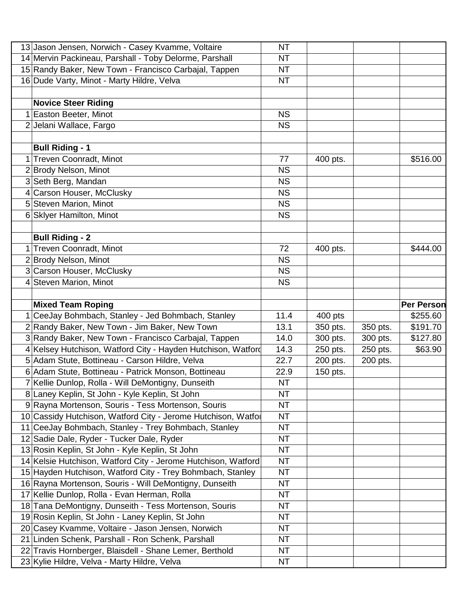|                 | 13 Jason Jensen, Norwich - Casey Kvamme, Voltaire             | <b>NT</b> |          |          |                   |
|-----------------|---------------------------------------------------------------|-----------|----------|----------|-------------------|
|                 | 14 Mervin Packineau, Parshall - Toby Delorme, Parshall        | <b>NT</b> |          |          |                   |
|                 | 15 Randy Baker, New Town - Francisco Carbajal, Tappen         | <b>NT</b> |          |          |                   |
|                 | 16 Dude Varty, Minot - Marty Hildre, Velva                    | <b>NT</b> |          |          |                   |
|                 |                                                               |           |          |          |                   |
|                 | <b>Novice Steer Riding</b>                                    |           |          |          |                   |
|                 | Easton Beeter, Minot                                          | <b>NS</b> |          |          |                   |
|                 | 2 Jelani Wallace, Fargo                                       | <b>NS</b> |          |          |                   |
|                 |                                                               |           |          |          |                   |
|                 | <b>Bull Riding - 1</b>                                        |           |          |          |                   |
|                 | <b>Treven Coonradt, Minot</b>                                 | 77        | 400 pts. |          | \$516.00          |
|                 | 2 Brody Nelson, Minot                                         | <b>NS</b> |          |          |                   |
| 3               | Seth Berg, Mandan                                             | <b>NS</b> |          |          |                   |
| 4               | Carson Houser, McClusky                                       | <b>NS</b> |          |          |                   |
| 5               | Steven Marion, Minot                                          | <b>NS</b> |          |          |                   |
|                 | 6 Sklyer Hamilton, Minot                                      | <b>NS</b> |          |          |                   |
|                 |                                                               |           |          |          |                   |
|                 | <b>Bull Riding - 2</b>                                        |           |          |          |                   |
| 1               | Treven Coonradt, Minot                                        | 72        | 400 pts. |          | \$444.00          |
|                 | 2 Brody Nelson, Minot                                         | <b>NS</b> |          |          |                   |
|                 | 3 Carson Houser, McClusky                                     | <b>NS</b> |          |          |                   |
|                 | <b>Steven Marion, Minot</b>                                   | <b>NS</b> |          |          |                   |
|                 |                                                               |           |          |          |                   |
|                 | <b>Mixed Team Roping</b>                                      |           |          |          | <b>Per Person</b> |
|                 | CeeJay Bohmbach, Stanley - Jed Bohmbach, Stanley              | 11.4      | 400 pts  |          | \$255.60          |
|                 | 2 Randy Baker, New Town - Jim Baker, New Town                 | 13.1      | 350 pts. | 350 pts. | \$191.70          |
|                 | 3 Randy Baker, New Town - Francisco Carbajal, Tappen          | 14.0      | 300 pts. | 300 pts. | \$127.80          |
|                 | 4 Kelsey Hutchison, Watford City - Hayden Hutchison, Watford  | 14.3      | 250 pts. | 250 pts. | \$63.90           |
|                 | 5 Adam Stute, Bottineau - Carson Hildre, Velva                | 22.7      | 200 pts. | 200 pts. |                   |
|                 | 6 Adam Stute, Bottineau - Patrick Monson, Bottineau           | 22.9      | 150 pts. |          |                   |
|                 | 7 Kellie Dunlop, Rolla - Will DeMontigny, Dunseith            | <b>NT</b> |          |          |                   |
|                 | 8 Laney Keplin, St John - Kyle Keplin, St John                | <b>NT</b> |          |          |                   |
|                 | 9 Rayna Mortenson, Souris - Tess Mortenson, Souris            | <b>NT</b> |          |          |                   |
|                 | 10 Cassidy Hutchison, Watford City - Jerome Hutchison, Watfol | <b>NT</b> |          |          |                   |
| 11              | CeeJay Bohmbach, Stanley - Trey Bohmbach, Stanley             | <b>NT</b> |          |          |                   |
|                 | 12 Sadie Dale, Ryder - Tucker Dale, Ryder                     | <b>NT</b> |          |          |                   |
|                 | 13 Rosin Keplin, St John - Kyle Keplin, St John               | <b>NT</b> |          |          |                   |
|                 | 14 Kelsie Hutchison, Watford City - Jerome Hutchison, Watford | <b>NT</b> |          |          |                   |
|                 |                                                               |           |          |          |                   |
|                 | 15 Hayden Hutchison, Watford City - Trey Bohmbach, Stanley    | <b>NT</b> |          |          |                   |
|                 | 16 Rayna Mortenson, Souris - Will DeMontigny, Dunseith        | <b>NT</b> |          |          |                   |
|                 | 17 Kellie Dunlop, Rolla - Evan Herman, Rolla                  | <b>NT</b> |          |          |                   |
|                 | 18 Tana DeMontigny, Dunseith - Tess Mortenson, Souris         | <b>NT</b> |          |          |                   |
|                 | 19 Rosin Keplin, St John - Laney Keplin, St John              | <b>NT</b> |          |          |                   |
| 20 <sub>l</sub> | Casey Kvamme, Voltaire - Jason Jensen, Norwich                | NT        |          |          |                   |
|                 | 21 Linden Schenk, Parshall - Ron Schenk, Parshall             | <b>NT</b> |          |          |                   |
|                 | 22 Travis Hornberger, Blaisdell - Shane Lemer, Berthold       | <b>NT</b> |          |          |                   |